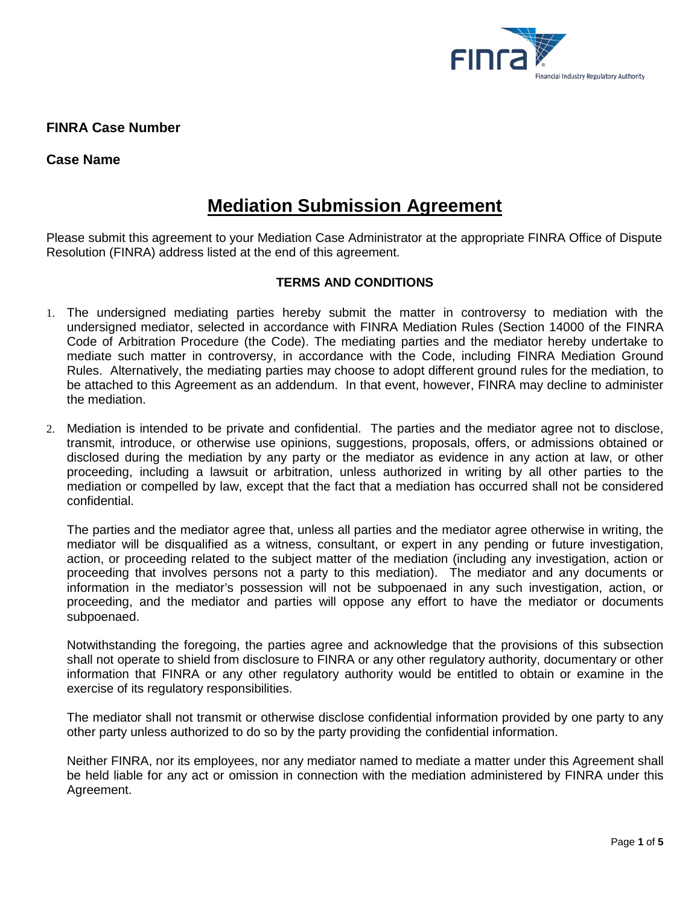

**FINRA Case Number**

## **Case Name**

# **Mediation Submission Agreement**

Please submit this agreement to your Mediation Case Administrator at the appropriate FINRA Office of Dispute Resolution (FINRA) address listed at the end of this agreement.

## **TERMS AND CONDITIONS**

- 1. The undersigned mediating parties hereby submit the matter in controversy to mediation with the undersigned mediator, selected in accordance with FINRA Mediation Rules (Section 14000 of the FINRA Code of Arbitration Procedure (the Code). The mediating parties and the mediator hereby undertake to mediate such matter in controversy, in accordance with the Code, including FINRA Mediation Ground Rules. Alternatively, the mediating parties may choose to adopt different ground rules for the mediation, to be attached to this Agreement as an addendum. In that event, however, FINRA may decline to administer the mediation.
- 2. Mediation is intended to be private and confidential. The parties and the mediator agree not to disclose, transmit, introduce, or otherwise use opinions, suggestions, proposals, offers, or admissions obtained or disclosed during the mediation by any party or the mediator as evidence in any action at law, or other proceeding, including a lawsuit or arbitration, unless authorized in writing by all other parties to the mediation or compelled by law, except that the fact that a mediation has occurred shall not be considered confidential.

The parties and the mediator agree that, unless all parties and the mediator agree otherwise in writing, the mediator will be disqualified as a witness, consultant, or expert in any pending or future investigation, action, or proceeding related to the subject matter of the mediation (including any investigation, action or proceeding that involves persons not a party to this mediation). The mediator and any documents or information in the mediator's possession will not be subpoenaed in any such investigation, action, or proceeding, and the mediator and parties will oppose any effort to have the mediator or documents subpoenaed.

Notwithstanding the foregoing, the parties agree and acknowledge that the provisions of this subsection shall not operate to shield from disclosure to FINRA or any other regulatory authority, documentary or other information that FINRA or any other regulatory authority would be entitled to obtain or examine in the exercise of its regulatory responsibilities.

The mediator shall not transmit or otherwise disclose confidential information provided by one party to any other party unless authorized to do so by the party providing the confidential information.

Neither FINRA, nor its employees, nor any mediator named to mediate a matter under this Agreement shall be held liable for any act or omission in connection with the mediation administered by FINRA under this Agreement.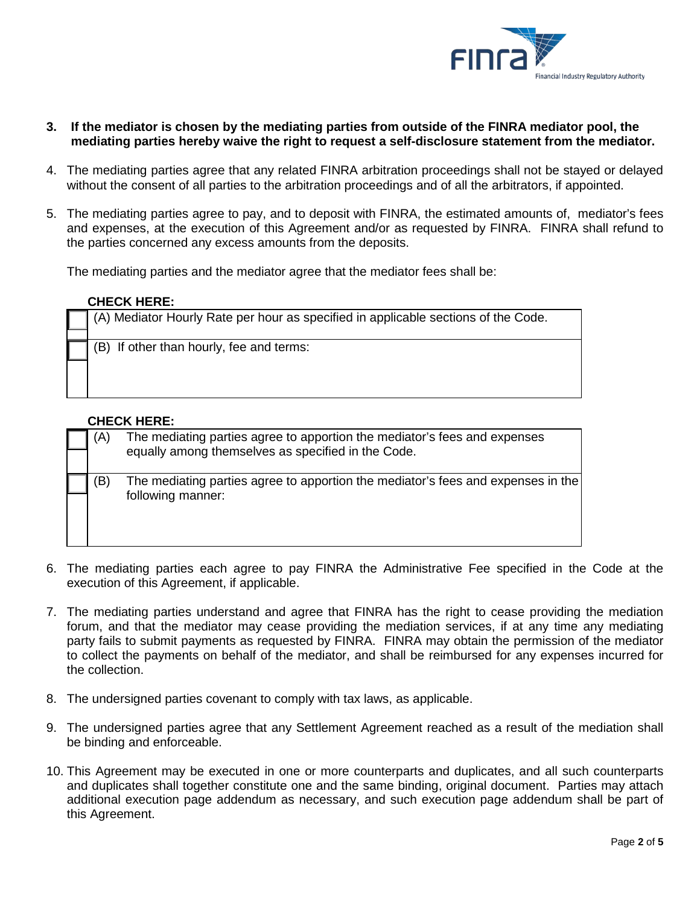

- **3. If the mediator is chosen by the mediating parties from outside of the FINRA mediator pool, the mediating parties hereby waive the right to request a self-disclosure statement from the mediator.**
- 4. The mediating parties agree that any related FINRA arbitration proceedings shall not be stayed or delayed without the consent of all parties to the arbitration proceedings and of all the arbitrators, if appointed.
- 5. The mediating parties agree to pay, and to deposit with FINRA, the estimated amounts of, mediator's fees and expenses, at the execution of this Agreement and/or as requested by FINRA. FINRA shall refund to the parties concerned any excess amounts from the deposits.

The mediating parties and the mediator agree that the mediator fees shall be:

#### **CHECK HERE:**

| (A) Mediator Hourly Rate per hour as specified in applicable sections of the Code. |
|------------------------------------------------------------------------------------|
|                                                                                    |
| (B) If other than hourly, fee and terms:                                           |
|                                                                                    |
|                                                                                    |
|                                                                                    |

### **CHECK HERE:**

| (A) | The mediating parties agree to apportion the mediator's fees and expenses<br>equally among themselves as specified in the Code. |
|-----|---------------------------------------------------------------------------------------------------------------------------------|
| B)  | The mediating parties agree to apportion the mediator's fees and expenses in the<br>following manner:                           |

- 6. The mediating parties each agree to pay FINRA the Administrative Fee specified in the Code at the execution of this Agreement, if applicable.
- 7. The mediating parties understand and agree that FINRA has the right to cease providing the mediation forum, and that the mediator may cease providing the mediation services, if at any time any mediating party fails to submit payments as requested by FINRA. FINRA may obtain the permission of the mediator to collect the payments on behalf of the mediator, and shall be reimbursed for any expenses incurred for the collection.
- 8. The undersigned parties covenant to comply with tax laws, as applicable.
- 9. The undersigned parties agree that any Settlement Agreement reached as a result of the mediation shall be binding and enforceable.
- 10. This Agreement may be executed in one or more counterparts and duplicates, and all such counterparts and duplicates shall together constitute one and the same binding, original document. Parties may attach additional execution page addendum as necessary, and such execution page addendum shall be part of this Agreement.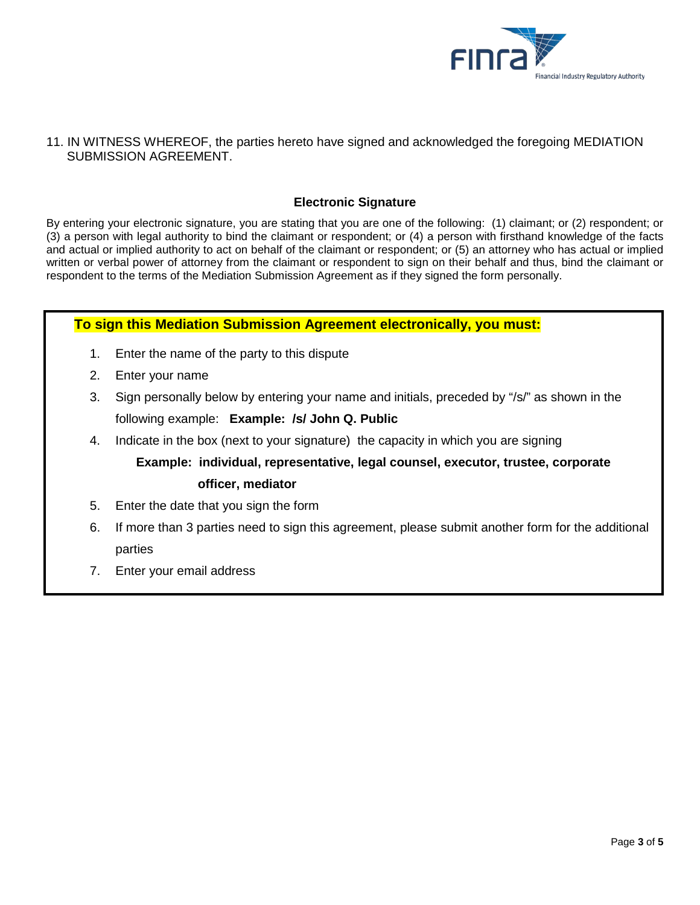

### 11. IN WITNESS WHEREOF, the parties hereto have signed and acknowledged the foregoing MEDIATION SUBMISSION AGREEMENT.

## **Electronic Signature**

By entering your electronic signature, you are stating that you are one of the following: (1) claimant; or (2) respondent; or (3) a person with legal authority to bind the claimant or respondent; or (4) a person with firsthand knowledge of the facts and actual or implied authority to act on behalf of the claimant or respondent; or (5) an attorney who has actual or implied written or verbal power of attorney from the claimant or respondent to sign on their behalf and thus, bind the claimant or respondent to the terms of the Mediation Submission Agreement as if they signed the form personally.

## **To sign this Mediation Submission Agreement electronically, you must:**

- 1. Enter the name of the party to this dispute
- 2. Enter your name
- 3. Sign personally below by entering your name and initials, preceded by "/s/" as shown in the following example: **Example: /s/ John Q. Public**
- 4. Indicate in the box (next to your signature) the capacity in which you are signing

# **Example: individual, representative, legal counsel, executor, trustee, corporate**

## **officer, mediator**

- 5. Enter the date that you sign the form
- 6. If more than 3 parties need to sign this agreement, please submit another form for the additional parties
- 7. Enter your email address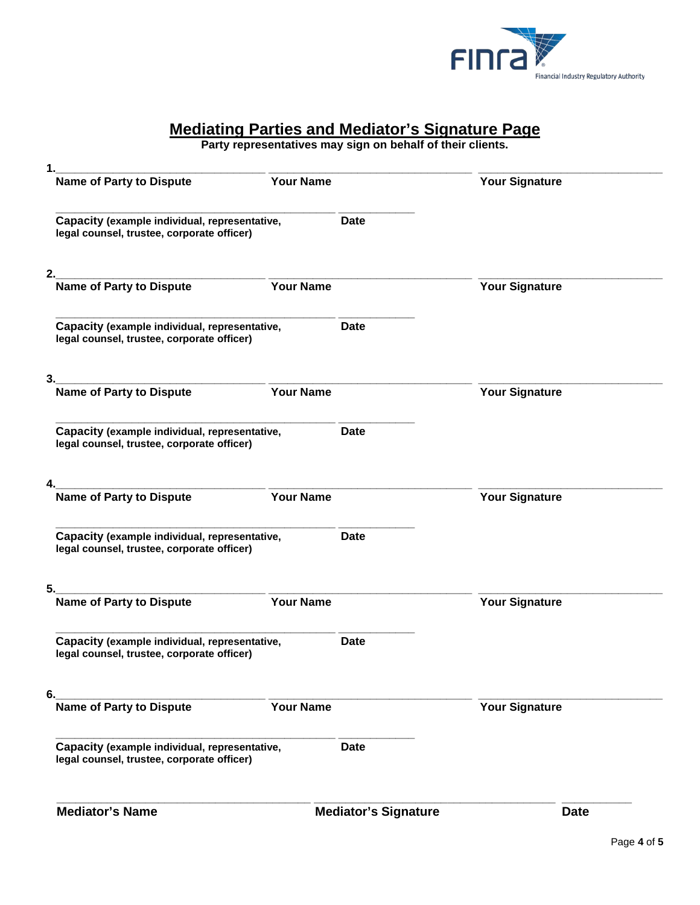

# **Mediating Parties and Mediator's Signature Page**

**Party representatives may sign on behalf of their clients.**

| <b>Mediator's Name</b>                                                                      |                  | <b>Mediator's Signature</b> | <b>Date</b>           |
|---------------------------------------------------------------------------------------------|------------------|-----------------------------|-----------------------|
| Capacity (example individual, representative,<br>legal counsel, trustee, corporate officer) |                  | <b>Date</b>                 |                       |
| <b>Name of Party to Dispute</b>                                                             | <b>Your Name</b> |                             | <b>Your Signature</b> |
| 6.                                                                                          |                  |                             |                       |
| Capacity (example individual, representative,<br>legal counsel, trustee, corporate officer) |                  | Date                        |                       |
| 5.<br>Name of Party to Dispute                                                              | <b>Your Name</b> |                             | <b>Your Signature</b> |
| legal counsel, trustee, corporate officer)                                                  |                  |                             |                       |
| Capacity (example individual, representative,                                               |                  | <b>Date</b>                 |                       |
| 4.<br><b>Name of Party to Dispute</b>                                                       | <b>Your Name</b> |                             | <b>Your Signature</b> |
|                                                                                             |                  |                             |                       |
| Capacity (example individual, representative,<br>legal counsel, trustee, corporate officer) |                  | <b>Date</b>                 |                       |
| Name of Party to Dispute<br>Name of Party to Dispute<br>3.                                  | <b>Your Name</b> |                             | <b>Your Signature</b> |
|                                                                                             |                  |                             |                       |
| Capacity (example individual, representative,<br>legal counsel, trustee, corporate officer) |                  | <b>Date</b>                 |                       |
| 2.<br>.<br>Name of Party to Dispute                                                         | Your Name        |                             | <b>Your Signature</b> |
| Capacity (example individual, representative,<br>legal counsel, trustee, corporate officer) |                  | <b>Date</b>                 |                       |
|                                                                                             |                  |                             |                       |
| 1.<br>-<br>Name of Party to Dispute                                                         | <b>Your Name</b> |                             | <b>Your Signature</b> |